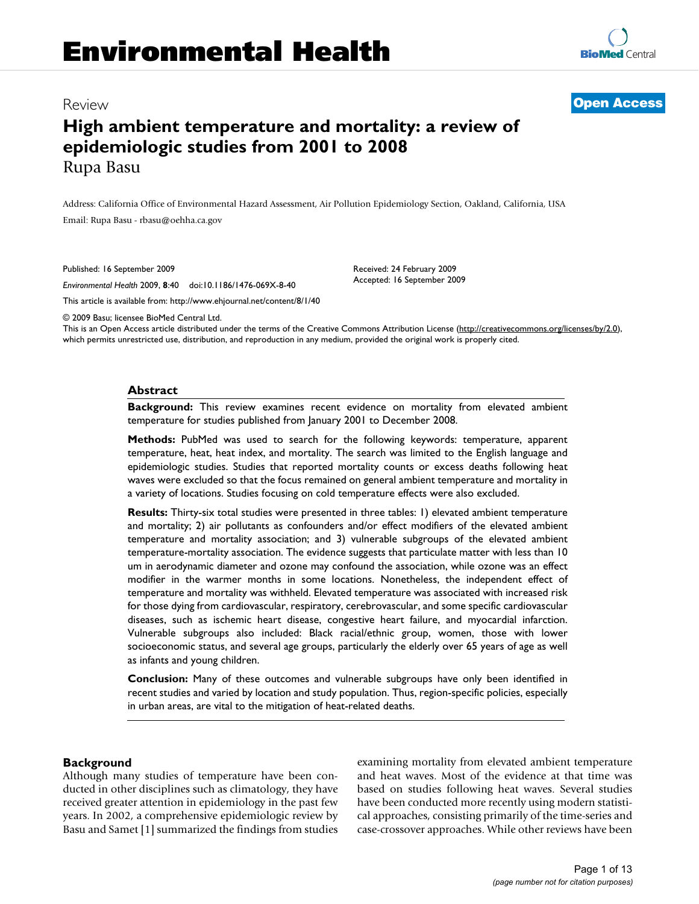# Review

# **High ambient temperature and mortality: a review of epidemiologic studies from 2001 to 2008** Rupa Basu

Address: California Office of Environmental Hazard Assessment, Air Pollution Epidemiology Section, Oakland, California, USA Email: Rupa Basu - rbasu@oehha.ca.gov

Published: 16 September 2009

*Environmental Health* 2009, **8**:40 doi:10.1186/1476-069X-8-40

[This article is available from: http://www.ehjournal.net/content/8/1/40](http://www.ehjournal.net/content/8/1/40)

© 2009 Basu; licensee BioMed Central Ltd.

This is an Open Access article distributed under the terms of the Creative Commons Attribution License [\(http://creativecommons.org/licenses/by/2.0\)](http://creativecommons.org/licenses/by/2.0), which permits unrestricted use, distribution, and reproduction in any medium, provided the original work is properly cited.

### **Abstract**

**Background:** This review examines recent evidence on mortality from elevated ambient temperature for studies published from January 2001 to December 2008.

**Methods:** PubMed was used to search for the following keywords: temperature, apparent temperature, heat, heat index, and mortality. The search was limited to the English language and epidemiologic studies. Studies that reported mortality counts or excess deaths following heat waves were excluded so that the focus remained on general ambient temperature and mortality in a variety of locations. Studies focusing on cold temperature effects were also excluded.

**Results:** Thirty-six total studies were presented in three tables: 1) elevated ambient temperature and mortality; 2) air pollutants as confounders and/or effect modifiers of the elevated ambient temperature and mortality association; and 3) vulnerable subgroups of the elevated ambient temperature-mortality association. The evidence suggests that particulate matter with less than 10 um in aerodynamic diameter and ozone may confound the association, while ozone was an effect modifier in the warmer months in some locations. Nonetheless, the independent effect of temperature and mortality was withheld. Elevated temperature was associated with increased risk for those dying from cardiovascular, respiratory, cerebrovascular, and some specific cardiovascular diseases, such as ischemic heart disease, congestive heart failure, and myocardial infarction. Vulnerable subgroups also included: Black racial/ethnic group, women, those with lower socioeconomic status, and several age groups, particularly the elderly over 65 years of age as well as infants and young children.

**Conclusion:** Many of these outcomes and vulnerable subgroups have only been identified in recent studies and varied by location and study population. Thus, region-specific policies, especially in urban areas, are vital to the mitigation of heat-related deaths.

### **Background**

Although many studies of temperature have been conducted in other disciplines such as climatology, they have received greater attention in epidemiology in the past few years. In 2002, a comprehensive epidemiologic review by Basu and Samet [[1](#page-11-0)] summarized the findings from studies examining mortality from elevated ambient temperature and heat waves. Most of the evidence at that time was based on studies following heat waves. Several studies have been conducted more recently using modern statistical approaches, consisting primarily of the time-series and case-crossover approaches. While other reviews have been



# **[Open Access](http://www.biomedcentral.com/info/about/charter/)**

Received: 24 February 2009 Accepted: 16 September 2009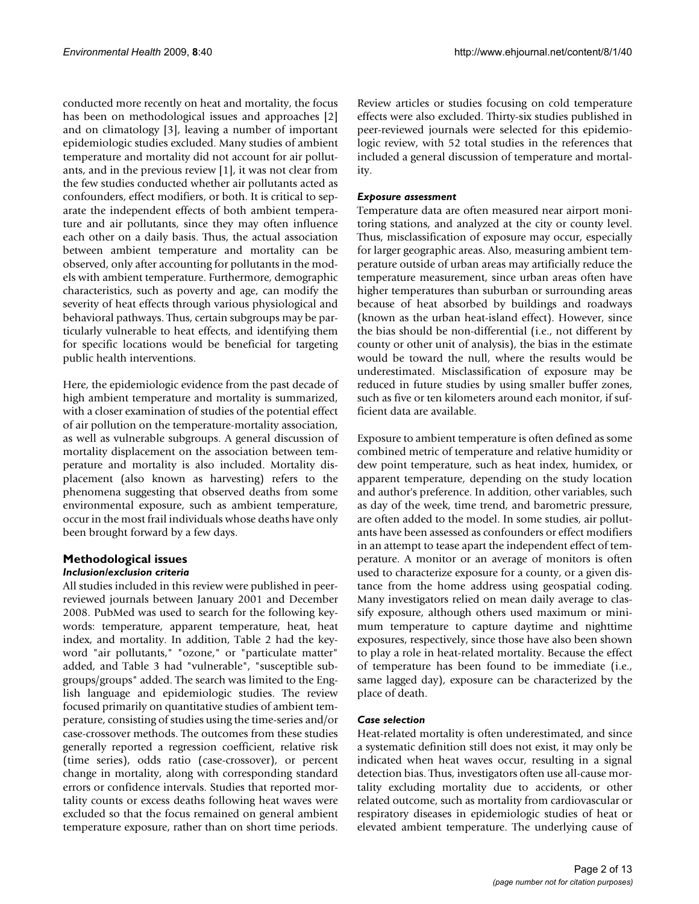conducted more recently on heat and mortality, the focus has been on methodological issues and approaches [\[2\]](#page-11-1) and on climatology [[3](#page-11-2)], leaving a number of important epidemiologic studies excluded. Many studies of ambient temperature and mortality did not account for air pollutants, and in the previous review [\[1\]](#page-11-0), it was not clear from the few studies conducted whether air pollutants acted as confounders, effect modifiers, or both. It is critical to separate the independent effects of both ambient temperature and air pollutants, since they may often influence each other on a daily basis. Thus, the actual association between ambient temperature and mortality can be observed, only after accounting for pollutants in the models with ambient temperature. Furthermore, demographic characteristics, such as poverty and age, can modify the severity of heat effects through various physiological and behavioral pathways. Thus, certain subgroups may be particularly vulnerable to heat effects, and identifying them for specific locations would be beneficial for targeting public health interventions.

Here, the epidemiologic evidence from the past decade of high ambient temperature and mortality is summarized, with a closer examination of studies of the potential effect of air pollution on the temperature-mortality association, as well as vulnerable subgroups. A general discussion of mortality displacement on the association between temperature and mortality is also included. Mortality displacement (also known as harvesting) refers to the phenomena suggesting that observed deaths from some environmental exposure, such as ambient temperature, occur in the most frail individuals whose deaths have only been brought forward by a few days.

### **Methodological issues** *Inclusion/exclusion criteria*

All studies included in this review were published in peerreviewed journals between January 2001 and December 2008. PubMed was used to search for the following keywords: temperature, apparent temperature, heat, heat index, and mortality. In addition, Table [2](#page-6-0) had the keyword "air pollutants," "ozone," or "particulate matter" added, and Table [3](#page-8-0) had "vulnerable", "susceptible subgroups/groups" added. The search was limited to the English language and epidemiologic studies. The review focused primarily on quantitative studies of ambient temperature, consisting of studies using the time-series and/or case-crossover methods. The outcomes from these studies generally reported a regression coefficient, relative risk (time series), odds ratio (case-crossover), or percent change in mortality, along with corresponding standard errors or confidence intervals. Studies that reported mortality counts or excess deaths following heat waves were excluded so that the focus remained on general ambient temperature exposure, rather than on short time periods.

Review articles or studies focusing on cold temperature effects were also excluded. Thirty-six studies published in peer-reviewed journals were selected for this epidemiologic review, with 52 total studies in the references that included a general discussion of temperature and mortality.

# *Exposure assessment*

Temperature data are often measured near airport monitoring stations, and analyzed at the city or county level. Thus, misclassification of exposure may occur, especially for larger geographic areas. Also, measuring ambient temperature outside of urban areas may artificially reduce the temperature measurement, since urban areas often have higher temperatures than suburban or surrounding areas because of heat absorbed by buildings and roadways (known as the urban heat-island effect). However, since the bias should be non-differential (i.e., not different by county or other unit of analysis), the bias in the estimate would be toward the null, where the results would be underestimated. Misclassification of exposure may be reduced in future studies by using smaller buffer zones, such as five or ten kilometers around each monitor, if sufficient data are available.

Exposure to ambient temperature is often defined as some combined metric of temperature and relative humidity or dew point temperature, such as heat index, humidex, or apparent temperature, depending on the study location and author's preference. In addition, other variables, such as day of the week, time trend, and barometric pressure, are often added to the model. In some studies, air pollutants have been assessed as confounders or effect modifiers in an attempt to tease apart the independent effect of temperature. A monitor or an average of monitors is often used to characterize exposure for a county, or a given distance from the home address using geospatial coding. Many investigators relied on mean daily average to classify exposure, although others used maximum or minimum temperature to capture daytime and nighttime exposures, respectively, since those have also been shown to play a role in heat-related mortality. Because the effect of temperature has been found to be immediate (i.e., same lagged day), exposure can be characterized by the place of death.

# *Case selection*

Heat-related mortality is often underestimated, and since a systematic definition still does not exist, it may only be indicated when heat waves occur, resulting in a signal detection bias. Thus, investigators often use all-cause mortality excluding mortality due to accidents, or other related outcome, such as mortality from cardiovascular or respiratory diseases in epidemiologic studies of heat or elevated ambient temperature. The underlying cause of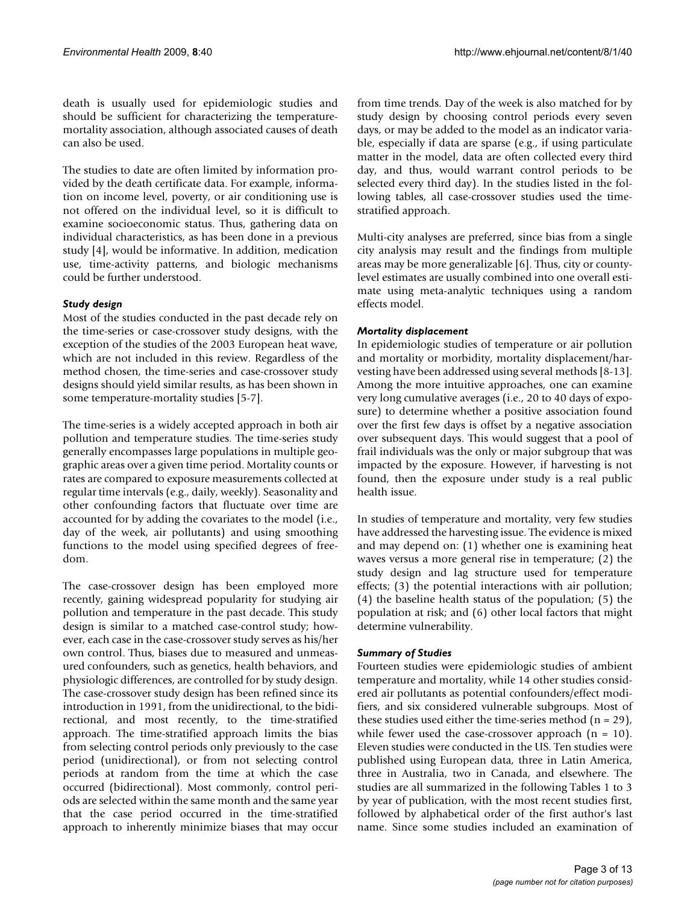death is usually used for epidemiologic studies and should be sufficient for characterizing the temperaturemortality association, although associated causes of death can also be used.

The studies to date are often limited by information provided by the death certificate data. For example, information on income level, poverty, or air conditioning use is not offered on the individual level, so it is difficult to examine socioeconomic status. Thus, gathering data on individual characteristics, as has been done in a previous study [\[4](#page-11-3)], would be informative. In addition, medication use, time-activity patterns, and biologic mechanisms could be further understood.

# *Study design*

Most of the studies conducted in the past decade rely on the time-series or case-crossover study designs, with the exception of the studies of the 2003 European heat wave, which are not included in this review. Regardless of the method chosen, the time-series and case-crossover study designs should yield similar results, as has been shown in some temperature-mortality studies [[5](#page-11-4)[-7\]](#page-11-5).

The time-series is a widely accepted approach in both air pollution and temperature studies. The time-series study generally encompasses large populations in multiple geographic areas over a given time period. Mortality counts or rates are compared to exposure measurements collected at regular time intervals (e.g., daily, weekly). Seasonality and other confounding factors that fluctuate over time are accounted for by adding the covariates to the model (i.e., day of the week, air pollutants) and using smoothing functions to the model using specified degrees of freedom.

The case-crossover design has been employed more recently, gaining widespread popularity for studying air pollution and temperature in the past decade. This study design is similar to a matched case-control study; however, each case in the case-crossover study serves as his/her own control. Thus, biases due to measured and unmeasured confounders, such as genetics, health behaviors, and physiologic differences, are controlled for by study design. The case-crossover study design has been refined since its introduction in 1991, from the unidirectional, to the bidirectional, and most recently, to the time-stratified approach. The time-stratified approach limits the bias from selecting control periods only previously to the case period (unidirectional), or from not selecting control periods at random from the time at which the case occurred (bidirectional). Most commonly, control periods are selected within the same month and the same year that the case period occurred in the time-stratified approach to inherently minimize biases that may occur from time trends. Day of the week is also matched for by study design by choosing control periods every seven days, or may be added to the model as an indicator variable, especially if data are sparse (e.g., if using particulate matter in the model, data are often collected every third day, and thus, would warrant control periods to be selected every third day). In the studies listed in the following tables, all case-crossover studies used the timestratified approach.

Multi-city analyses are preferred, since bias from a single city analysis may result and the findings from multiple areas may be more generalizable [[6](#page-11-6)]. Thus, city or countylevel estimates are usually combined into one overall estimate using meta-analytic techniques using a random effects model.

# *Mortality displacement*

In epidemiologic studies of temperature or air pollution and mortality or morbidity, mortality displacement/harvesting have been addressed using several methods [[8](#page-11-7)[-13](#page-11-8)]. Among the more intuitive approaches, one can examine very long cumulative averages (i.e., 20 to 40 days of exposure) to determine whether a positive association found over the first few days is offset by a negative association over subsequent days. This would suggest that a pool of frail individuals was the only or major subgroup that was impacted by the exposure. However, if harvesting is not found, then the exposure under study is a real public health issue.

In studies of temperature and mortality, very few studies have addressed the harvesting issue. The evidence is mixed and may depend on: (1) whether one is examining heat waves versus a more general rise in temperature; (2) the study design and lag structure used for temperature effects; (3) the potential interactions with air pollution; (4) the baseline health status of the population; (5) the population at risk; and (6) other local factors that might determine vulnerability.

# *Summary of Studies*

Fourteen studies were epidemiologic studies of ambient temperature and mortality, while 14 other studies considered air pollutants as potential confounders/effect modifiers, and six considered vulnerable subgroups. Most of these studies used either the time-series method  $(n = 29)$ , while fewer used the case-crossover approach  $(n = 10)$ . Eleven studies were conducted in the US. Ten studies were published using European data, three in Latin America, three in Australia, two in Canada, and elsewhere. The studies are all summarized in the following Tables [1](#page-4-0) to [3](#page-8-0) by year of publication, with the most recent studies first, followed by alphabetical order of the first author's last name. Since some studies included an examination of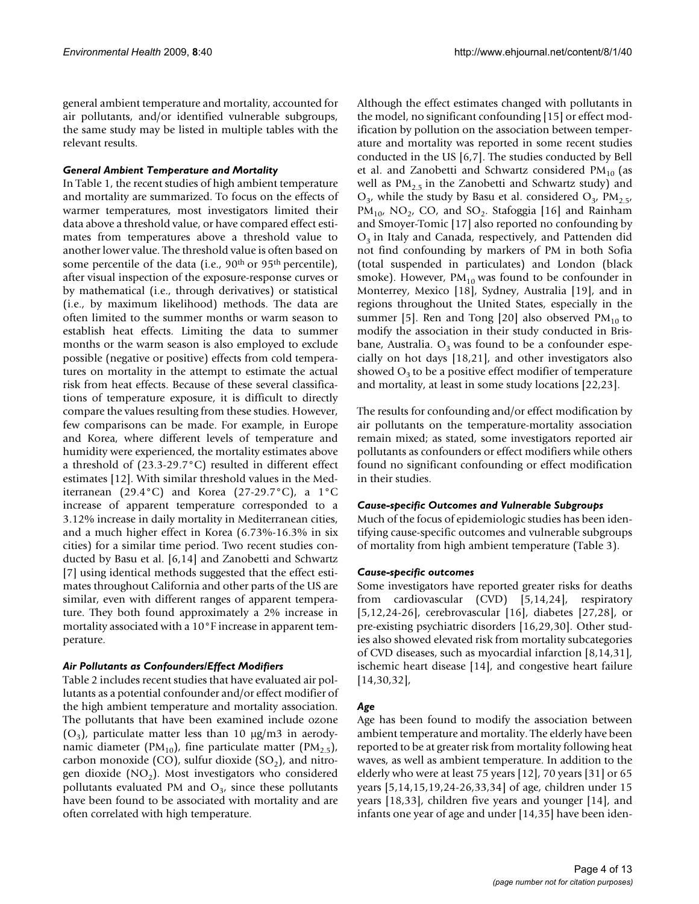general ambient temperature and mortality, accounted for air pollutants, and/or identified vulnerable subgroups, the same study may be listed in multiple tables with the relevant results.

### *General Ambient Temperature and Mortality*

In Table [1,](#page-4-0) the recent studies of high ambient temperature and mortality are summarized. To focus on the effects of warmer temperatures, most investigators limited their data above a threshold value, or have compared effect estimates from temperatures above a threshold value to another lower value. The threshold value is often based on some percentile of the data (i.e., 90<sup>th</sup> or 95<sup>th</sup> percentile), after visual inspection of the exposure-response curves or by mathematical (i.e., through derivatives) or statistical (i.e., by maximum likelihood) methods. The data are often limited to the summer months or warm season to establish heat effects. Limiting the data to summer months or the warm season is also employed to exclude possible (negative or positive) effects from cold temperatures on mortality in the attempt to estimate the actual risk from heat effects. Because of these several classifications of temperature exposure, it is difficult to directly compare the values resulting from these studies. However, few comparisons can be made. For example, in Europe and Korea, where different levels of temperature and humidity were experienced, the mortality estimates above a threshold of (23.3-29.7°C) resulted in different effect estimates [\[12](#page-11-9)]. With similar threshold values in the Mediterranean (29.4 $^{\circ}$ C) and Korea (27-29.7 $^{\circ}$ C), a 1 $^{\circ}$ C increase of apparent temperature corresponded to a 3.12% increase in daily mortality in Mediterranean cities, and a much higher effect in Korea (6.73%-16.3% in six cities) for a similar time period. Two recent studies conducted by Basu et al. [[6](#page-11-6),[14](#page-11-10)] and Zanobetti and Schwartz [[7\]](#page-11-5) using identical methods suggested that the effect estimates throughout California and other parts of the US are similar, even with different ranges of apparent temperature. They both found approximately a 2% increase in mortality associated with a 10°F increase in apparent temperature.

### *Air Pollutants as Confounders/Effect Modifiers*

Table [2](#page-6-0) includes recent studies that have evaluated air pollutants as a potential confounder and/or effect modifier of the high ambient temperature and mortality association. The pollutants that have been examined include ozone  $(O_3)$ , particulate matter less than 10  $\mu$ g/m3 in aerodynamic diameter ( $PM_{10}$ ), fine particulate matter ( $PM_{2.5}$ ), carbon monoxide (CO), sulfur dioxide  $(SO<sub>2</sub>)$ , and nitrogen dioxide  $(NO<sub>2</sub>)$ . Most investigators who considered pollutants evaluated PM and  $O<sub>3</sub>$ , since these pollutants have been found to be associated with mortality and are often correlated with high temperature.

Although the effect estimates changed with pollutants in the model, no significant confounding [\[15](#page-11-11)] or effect modification by pollution on the association between temperature and mortality was reported in some recent studies conducted in the US [[6](#page-11-6),[7](#page-11-5)]. The studies conducted by Bell et al. and Zanobetti and Schwartz considered  $PM_{10}$  (as well as  $PM_{2.5}$  in the Zanobetti and Schwartz study) and  $O_3$ , while the study by Basu et al. considered  $O_3$ , PM<sub>2.5</sub>,  $PM_{10}$ , NO<sub>2</sub>, CO, and SO<sub>2</sub>. Stafoggia [\[16](#page-11-12)] and Rainham and Smoyer-Tomic [[17\]](#page-12-0) also reported no confounding by  $O<sub>3</sub>$  in Italy and Canada, respectively, and Pattenden did not find confounding by markers of PM in both Sofia (total suspended in particulates) and London (black smoke). However,  $PM_{10}$  was found to be confounder in Monterrey, Mexico [\[18](#page-12-1)], Sydney, Australia [\[19\]](#page-12-2), and in regions throughout the United States, especially in the summer [\[5\]](#page-11-4). Ren and Tong [[20\]](#page-12-3) also observed  $PM_{10}$  to modify the association in their study conducted in Brisbane, Australia.  $O_3$  was found to be a confounder especially on hot days [\[18](#page-12-1),[21\]](#page-12-4), and other investigators also showed  $O_3$  to be a positive effect modifier of temperature and mortality, at least in some study locations [\[22,](#page-12-5)[23](#page-12-6)].

The results for confounding and/or effect modification by air pollutants on the temperature-mortality association remain mixed; as stated, some investigators reported air pollutants as confounders or effect modifiers while others found no significant confounding or effect modification in their studies.

### *Cause-specific Outcomes and Vulnerable Subgroups*

Much of the focus of epidemiologic studies has been identifying cause-specific outcomes and vulnerable subgroups of mortality from high ambient temperature (Table [3\)](#page-8-0).

### *Cause-specific outcomes*

Some investigators have reported greater risks for deaths from cardiovascular (CVD) [[5](#page-11-4),[14](#page-11-10),[24\]](#page-12-7), respiratory [[5](#page-11-4)[,12](#page-11-9),[24-](#page-12-7)[26\]](#page-12-8), cerebrovascular [\[16](#page-11-12)], diabetes [\[27](#page-12-9),[28](#page-12-10)], or pre-existing psychiatric disorders [\[16](#page-11-12),[29,](#page-12-11)[30\]](#page-12-12). Other studies also showed elevated risk from mortality subcategories of CVD diseases, such as myocardial infarction [[8](#page-11-7),[14,](#page-11-10)[31](#page-12-13)], ischemic heart disease [\[14\]](#page-11-10), and congestive heart failure [[14](#page-11-10),[30,](#page-12-12)[32](#page-12-14)],

### *Age*

Age has been found to modify the association between ambient temperature and mortality. The elderly have been reported to be at greater risk from mortality following heat waves, as well as ambient temperature. In addition to the elderly who were at least 75 years [[12\]](#page-11-9), 70 years [[31](#page-12-13)] or 65 years [[5](#page-11-4),[14](#page-11-10),[15,](#page-11-11)[19](#page-12-2),[24](#page-12-7)[-26](#page-12-8),[33,](#page-12-15)[34\]](#page-12-16) of age, children under 15 years [\[18](#page-12-1),[33](#page-12-15)], children five years and younger [[14](#page-11-10)], and infants one year of age and under [[14,](#page-11-10)[35](#page-12-17)] have been iden-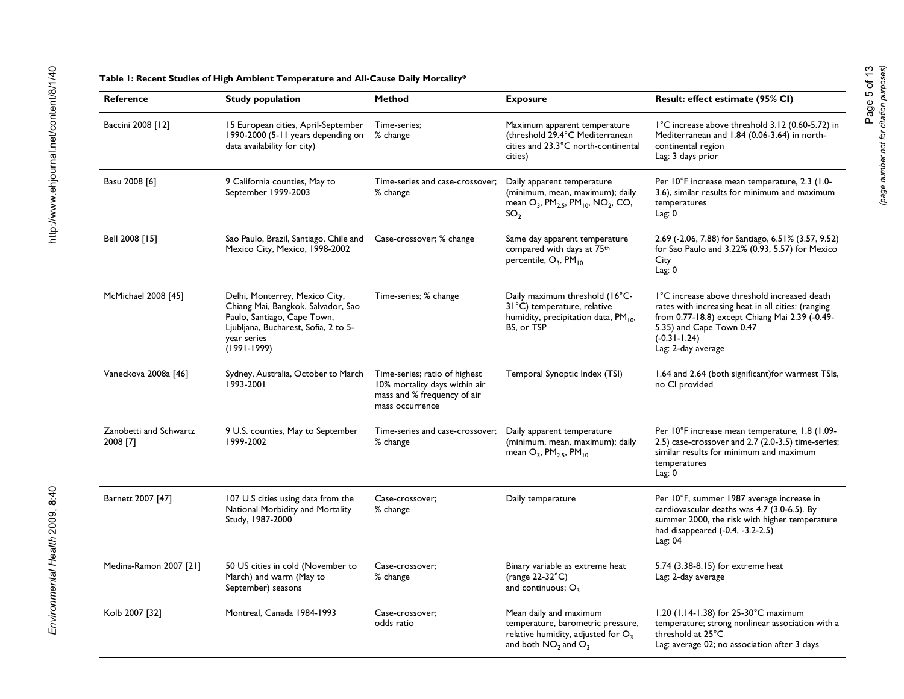| ٢<br>ć<br>5<br>$\frac{1}{2}$<br>n <sub>ane</sub> | ā<br><b>POOL</b><br>ς<br>ritati<br>umher not for<br>Ş<br>ā |
|--------------------------------------------------|------------------------------------------------------------|
|                                                  | ň                                                          |

<span id="page-4-0"></span>

| <b>Reference</b>                   | <b>Study population</b>                                                                                                                                                       | <b>Method</b>                                                                                                    | <b>Exposure</b>                                                                                                                                                        | Result: effect estimate (95% CI)                                                                                                                                                                                           |
|------------------------------------|-------------------------------------------------------------------------------------------------------------------------------------------------------------------------------|------------------------------------------------------------------------------------------------------------------|------------------------------------------------------------------------------------------------------------------------------------------------------------------------|----------------------------------------------------------------------------------------------------------------------------------------------------------------------------------------------------------------------------|
| Baccini 2008 [12]                  | 15 European cities, April-September<br>1990-2000 (5-11 years depending on<br>data availability for city)                                                                      | Time-series:<br>% change                                                                                         | Maximum apparent temperature<br>(threshold 29.4°C Mediterranean<br>cities and 23.3°C north-continental<br>cities)                                                      | 1°C increase above threshold 3.12 (0.60-5.72) in<br>Mediterranean and 1.84 (0.06-3.64) in north-<br>continental region<br>Lag: 3 days prior                                                                                |
| Basu 2008 [6]                      | 9 California counties, May to<br>September 1999-2003                                                                                                                          | Time-series and case-crossover;<br>% change                                                                      | Daily apparent temperature<br>(minimum, mean, maximum); daily<br>mean O <sub>3</sub> , PM <sub>2.5</sub> , PM <sub>10</sub> , NO <sub>2</sub> , CO,<br>SO <sub>2</sub> | Per 10°F increase mean temperature, 2.3 (1.0-<br>3.6), similar results for minimum and maximum<br>temperatures<br>Lag: 0                                                                                                   |
| Bell 2008 [15]                     | Sao Paulo, Brazil, Santiago, Chile and Case-crossover; % change<br>Mexico City, Mexico, 1998-2002                                                                             |                                                                                                                  | Same day apparent temperature<br>compared with days at 75th<br>percentile, O <sub>3</sub> , PM <sub>10</sub>                                                           | 2.69 (-2.06, 7.88) for Santiago, 6.51% (3.57, 9.52)<br>for Sao Paulo and 3.22% (0.93, 5.57) for Mexico<br>City<br>Lag: 0                                                                                                   |
| McMichael 2008 [45]                | Delhi, Monterrey, Mexico City,<br>Chiang Mai, Bangkok, Salvador, Sao<br>Paulo, Santiago, Cape Town,<br>Ljubljana, Bucharest, Sofia, 2 to 5-<br>year series<br>$(1991 - 1999)$ | Time-series; % change                                                                                            | Daily maximum threshold (16°C-<br>31°C) temperature, relative<br>humidity, precipitation data, PM <sub>10</sub> ,<br>BS, or TSP                                        | I°C increase above threshold increased death<br>rates with increasing heat in all cities: (ranging<br>from 0.77-18.8) except Chiang Mai 2.39 (-0.49-<br>5.35) and Cape Town 0.47<br>$(-0.31 - 1.24)$<br>Lag: 2-day average |
| Vaneckova 2008a [46]               | Sydney, Australia, October to March<br>1993-2001                                                                                                                              | Time-series; ratio of highest<br>10% mortality days within air<br>mass and % frequency of air<br>mass occurrence | Temporal Synoptic Index (TSI)                                                                                                                                          | 1.64 and 2.64 (both significant) for warmest TSIs,<br>no CI provided                                                                                                                                                       |
| Zanobetti and Schwartz<br>2008 [7] | 9 U.S. counties, May to September<br>1999-2002                                                                                                                                | Time-series and case-crossover;<br>% change                                                                      | Daily apparent temperature<br>(minimum, mean, maximum); daily<br>mean $O_3$ , PM <sub>2.5</sub> , PM <sub>10</sub>                                                     | Per 10°F increase mean temperature, 1.8 (1.09-<br>2.5) case-crossover and 2.7 (2.0-3.5) time-series;<br>similar results for minimum and maximum<br>temperatures<br>Lag: 0                                                  |
| Barnett 2007 [47]                  | 107 U.S cities using data from the<br>National Morbidity and Mortality<br>Study, 1987-2000                                                                                    | Case-crossover;<br>% change                                                                                      | Daily temperature                                                                                                                                                      | Per 10°F, summer 1987 average increase in<br>cardiovascular deaths was 4.7 (3.0-6.5). By<br>summer 2000, the risk with higher temperature<br>had disappeared (-0.4, -3.2-2.5)<br>Lag: 04                                   |
| Medina-Ramon 2007 [21]             | 50 US cities in cold (November to<br>March) and warm (May to<br>September) seasons                                                                                            | Case-crossover;<br>% change                                                                                      | Binary variable as extreme heat<br>(range $22-32^{\circ}C$ )<br>and continuous; $O_3$                                                                                  | 5.74 (3.38-8.15) for extreme heat<br>Lag: 2-day average                                                                                                                                                                    |
| Kolb 2007 [32]                     | Montreal, Canada 1984-1993                                                                                                                                                    | Case-crossover;<br>odds ratio                                                                                    | Mean daily and maximum<br>temperature, barometric pressure,<br>relative humidity, adjusted for $O_3$<br>and both $NO2$ and $O3$                                        | 1.20 (1.14-1.38) for 25-30°C maximum<br>temperature; strong nonlinear association with a<br>threshold at 25°C<br>Lag: average 02; no association after 3 days                                                              |

**Table 1: Recent Studies of High Ambient Temperature and All-Cause Daily Mortality\***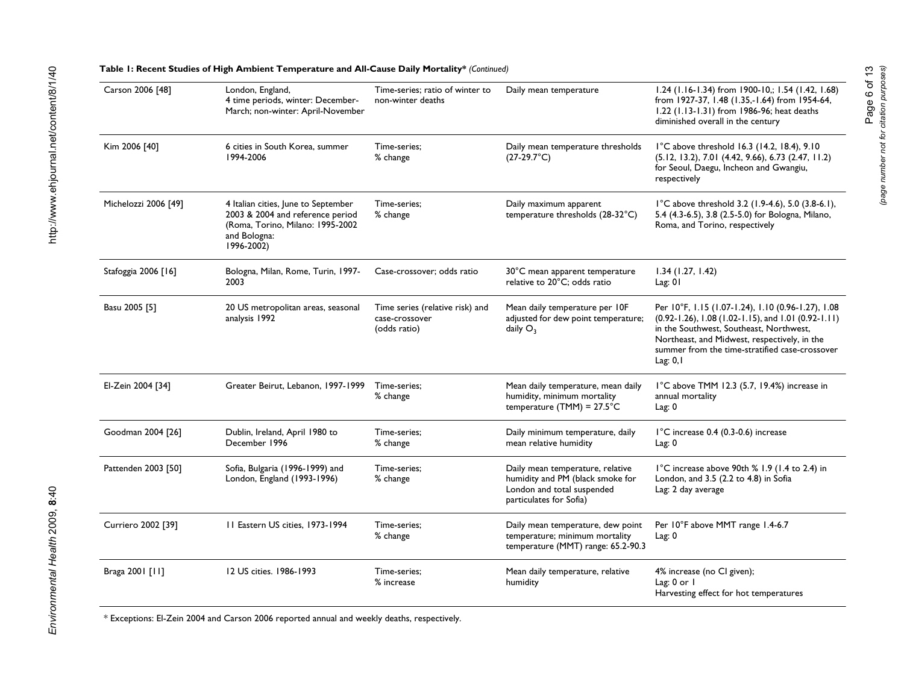| Carson 2006 [48]     | London, England,<br>4 time periods, winter: December-<br>March; non-winter: April-November                                                | Time-series: ratio of winter to<br>non-winter deaths              | Daily mean temperature                                                                                                        | 1.24 (1.16-1.34) from 1900-10; 1.54 (1.42, 1.68)<br>from 1927-37, 1.48 (1.35,-1.64) from 1954-64,<br>1.22 (1.13-1.31) from 1986-96; heat deaths<br>diminished overall in the century                                                                                      |
|----------------------|-------------------------------------------------------------------------------------------------------------------------------------------|-------------------------------------------------------------------|-------------------------------------------------------------------------------------------------------------------------------|---------------------------------------------------------------------------------------------------------------------------------------------------------------------------------------------------------------------------------------------------------------------------|
| Kim 2006 [40]        | 6 cities in South Korea, summer<br>1994-2006                                                                                              | Time-series;<br>% change                                          | Daily mean temperature thresholds<br>$(27-29.7^{\circ}C)$                                                                     | 1°C above threshold 16.3 (14.2, 18.4), 9.10<br>$(5.12, 13.2), 7.01$ $(4.42, 9.66), 6.73$ $(2.47, 11.2)$<br>for Seoul, Daegu, Incheon and Gwangiu,<br>respectively                                                                                                         |
| Michelozzi 2006 [49] | 4 Italian cities, June to September<br>2003 & 2004 and reference period<br>(Roma, Torino, Milano: 1995-2002<br>and Bologna:<br>1996-2002) | Time-series:<br>% change                                          | Daily maximum apparent<br>temperature thresholds (28-32°C)                                                                    | 1°C above threshold 3.2 (1.9-4.6), 5.0 (3.8-6.1),<br>5.4 (4.3-6.5), 3.8 (2.5-5.0) for Bologna, Milano,<br>Roma, and Torino, respectively                                                                                                                                  |
| Stafoggia 2006 [16]  | Bologna, Milan, Rome, Turin, 1997-<br>2003                                                                                                | Case-crossover: odds ratio                                        | 30°C mean apparent temperature<br>relative to 20°C; odds ratio                                                                | $1.34$ (1.27, 1.42)<br>Lag: 01                                                                                                                                                                                                                                            |
| Basu 2005 [5]        | 20 US metropolitan areas, seasonal<br>analysis 1992                                                                                       | Time series (relative risk) and<br>case-crossover<br>(odds ratio) | Mean daily temperature per IOF<br>adjusted for dew point temperature;<br>daily $O_3$                                          | Per 10°F, 1.15 (1.07-1.24), 1.10 (0.96-1.27), 1.08<br>$(0.92 - 1.26)$ , 1.08 (1.02-1.15), and 1.01 (0.92-1.11)<br>in the Southwest, Southeast, Northwest,<br>Northeast, and Midwest, respectively, in the<br>summer from the time-stratified case-crossover<br>Lag: $0,1$ |
| El-Zein 2004 [34]    | Greater Beirut, Lebanon, 1997-1999                                                                                                        | Time-series;<br>% change                                          | Mean daily temperature, mean daily<br>humidity, minimum mortality<br>temperature (TMM) = $27.5^{\circ}$ C                     | I°C above TMM 12.3 (5.7, 19.4%) increase in<br>annual mortality<br>Lag: 0                                                                                                                                                                                                 |
| Goodman 2004 [26]    | Dublin, Ireland, April 1980 to<br>December 1996                                                                                           | Time-series;<br>% change                                          | Daily minimum temperature, daily<br>mean relative humidity                                                                    | I°C increase 0.4 (0.3-0.6) increase<br>Lag: $0$                                                                                                                                                                                                                           |
| Pattenden 2003 [50]  | Sofia, Bulgaria (1996-1999) and<br>London, England (1993-1996)                                                                            | Time-series;<br>% change                                          | Daily mean temperature, relative<br>humidity and PM (black smoke for<br>London and total suspended<br>particulates for Sofia) | I°C increase above 90th % 1.9 (1.4 to 2.4) in<br>London, and 3.5 (2.2 to 4.8) in Sofia<br>Lag: 2 day average                                                                                                                                                              |
| Curriero 2002 [39]   | 11 Eastern US cities, 1973-1994                                                                                                           | Time-series:<br>% change                                          | Daily mean temperature, dew point<br>temperature; minimum mortality<br>temperature (MMT) range: 65.2-90.3                     | Per 10°F above MMT range 1.4-6.7<br>Lag: 0                                                                                                                                                                                                                                |
| Braga 2001 [11]      | 12 US cities. 1986-1993                                                                                                                   | Time-series;<br>% increase                                        | Mean daily temperature, relative<br>humidity                                                                                  | 4% increase (no CI given);<br>Lag: $0$ or $1$<br>Harvesting effect for hot temperatures                                                                                                                                                                                   |

**Table 1: Recent Studies of High Ambient Temperature and All-Cause Daily Mortality\*** *(Continued)*

\* Exceptions: El-Zein 2004 and Carson 2006 reported annual and weekly deaths, respectively.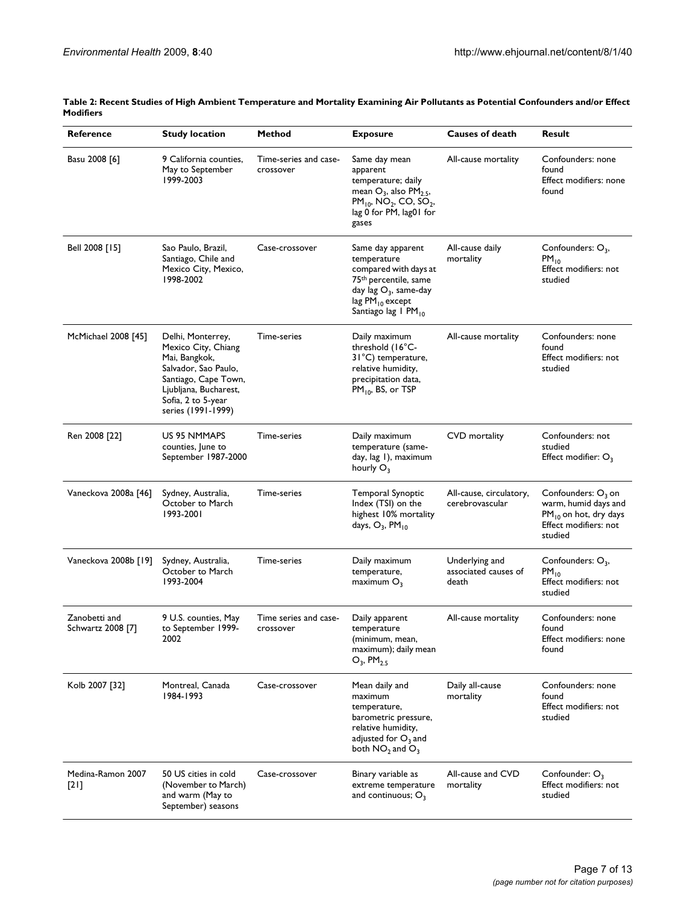| <b>Reference</b>                   | <b>Study location</b>                                                                                                                                                          | Method                             | <b>Exposure</b>                                                                                                                                                                              | <b>Causes of death</b>                          | Result                                                                                                                |
|------------------------------------|--------------------------------------------------------------------------------------------------------------------------------------------------------------------------------|------------------------------------|----------------------------------------------------------------------------------------------------------------------------------------------------------------------------------------------|-------------------------------------------------|-----------------------------------------------------------------------------------------------------------------------|
| Basu 2008 [6]                      | 9 California counties,<br>May to September<br>1999-2003                                                                                                                        | Time-series and case-<br>crossover | Same day mean<br>apparent<br>temperature; daily<br>mean $O_3$ , also $PM_{2.5}$ ,<br>$PM_{10}$ , NO <sub>2</sub> , CO, SO <sub>2</sub> ,<br>lag 0 for PM, lag01 for<br>gases                 | All-cause mortality                             | Confounders: none<br>found<br>Effect modifiers: none<br>found                                                         |
| Bell 2008 [15]                     | Sao Paulo, Brazil,<br>Santiago, Chile and<br>Mexico City, Mexico,<br>1998-2002                                                                                                 | Case-crossover                     | Same day apparent<br>temperature<br>compared with days at<br>75 <sup>th</sup> percentile, same<br>day lag $O_3$ , same-day<br>lag PM <sub>10</sub> except<br>Santiago lag   PM <sub>10</sub> | All-cause daily<br>mortality                    | Confounders: O <sub>3</sub> ,<br>$PM_{10}$<br>Effect modifiers: not<br>studied                                        |
| McMichael 2008 [45]                | Delhi, Monterrey,<br>Mexico City, Chiang<br>Mai, Bangkok,<br>Salvador, Sao Paulo,<br>Santiago, Cape Town,<br>Ljubljana, Bucharest,<br>Sofia, 2 to 5-year<br>series (1991-1999) | Time-series                        | Daily maximum<br>threshold (16°C-<br>31°C) temperature,<br>relative humidity,<br>precipitation data,<br>$PM_{10}$ , BS, or TSP                                                               | All-cause mortality                             | Confounders: none<br>found<br>Effect modifiers: not<br>studied                                                        |
| Ren 2008 [22]                      | US 95 NMMAPS<br>counties, June to<br>September 1987-2000                                                                                                                       | Time-series                        | Daily maximum<br>temperature (same-<br>day, lag 1), maximum<br>hourly $O_3$                                                                                                                  | CVD mortality                                   | Confounders: not<br>studied<br>Effect modifier: $O_3$                                                                 |
| Vaneckova 2008a [46]               | Sydney, Australia,<br>October to March<br>1993-2001                                                                                                                            | Time-series                        | Temporal Synoptic<br>Index (TSI) on the<br>highest 10% mortality<br>days, $O_3$ , PM <sub>10</sub>                                                                                           | All-cause, circulatory,<br>cerebrovascular      | Confounders: $O3$ on<br>warm, humid days and<br>PM <sub>10</sub> on hot, dry days<br>Effect modifiers: not<br>studied |
| Vaneckova 2008b [19]               | Sydney, Australia,<br>October to March<br>1993-2004                                                                                                                            | Time-series                        | Daily maximum<br>temperature,<br>maximum $O_3$                                                                                                                                               | Underlying and<br>associated causes of<br>death | Confounders: $O_3$ ,<br>$PM_{10}$<br>Effect modifiers: not<br>studied                                                 |
| Zanobetti and<br>Schwartz 2008 [7] | 9 U.S. counties, May<br>to September 1999-<br>2002                                                                                                                             | Time series and case-<br>crossover | Daily apparent<br>temperature<br>(minimum, mean,<br>maximum); daily mean<br>$O_3$ , PM <sub>2.5</sub>                                                                                        | All-cause mortality                             | Confounders: none<br>found<br>Effect modifiers: none<br>found                                                         |
| Kolb 2007 [32]                     | Montreal, Canada<br>1984-1993                                                                                                                                                  | Case-crossover                     | Mean daily and<br>maximum<br>temperature,<br>barometric pressure,<br>relative humidity,<br>adjusted for $O_3$ and<br>both $NO2$ and $O3$                                                     | Daily all-cause<br>mortality                    | Confounders: none<br>found<br>Effect modifiers: not<br>studied                                                        |
| Medina-Ramon 2007<br>$[2]$         | 50 US cities in cold<br>(November to March)<br>and warm (May to<br>September) seasons                                                                                          | Case-crossover                     | Binary variable as<br>extreme temperature<br>and continuous; $O_3$                                                                                                                           | All-cause and CVD<br>mortality                  | Confounder: $O_3$<br>Effect modifiers: not<br>studied                                                                 |

#### <span id="page-6-0"></span>**Table 2: Recent Studies of High Ambient Temperature and Mortality Examining Air Pollutants as Potential Confounders and/or Effect Modifiers**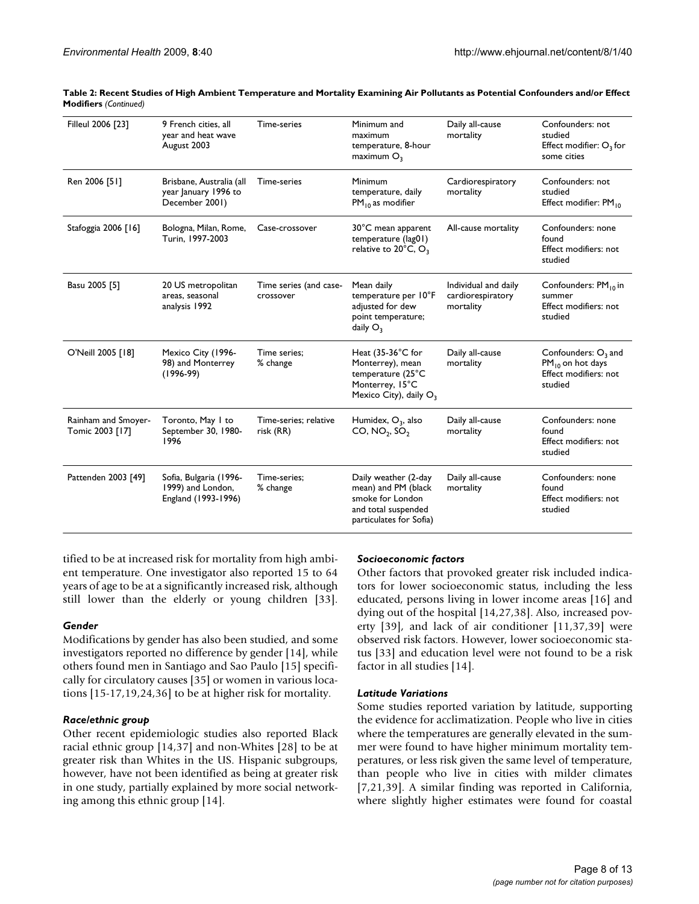| Filleul 2006 [23]                      | 9 French cities, all<br>year and heat wave<br>August 2003          | Time-series                         | Minimum and<br>maximum<br>temperature, 8-hour<br>maximum $O_3$                                                               | Daily all-cause<br>mortality                           | Confounders: not<br>studied<br>Effect modifier: $O_3$ for<br>some cities                     |
|----------------------------------------|--------------------------------------------------------------------|-------------------------------------|------------------------------------------------------------------------------------------------------------------------------|--------------------------------------------------------|----------------------------------------------------------------------------------------------|
| Ren 2006 [51]                          | Brisbane, Australia (all<br>year January 1996 to<br>December 2001) | Time-series                         | Minimum<br>temperature, daily<br>$PM_{10}$ as modifier                                                                       | Cardiorespiratory<br>mortality                         | Confounders: not<br>studied<br>Effect modifier: PM <sub>10</sub>                             |
| Stafoggia 2006 [16]                    | Bologna, Milan, Rome,<br>Turin, 1997-2003                          | Case-crossover                      | 30°C mean apparent<br>temperature (lag01)<br>relative to $20^{\circ}$ C, O <sub>3</sub>                                      | All-cause mortality                                    | Confounders: none<br>found<br>Effect modifiers: not<br>studied                               |
| Basu 2005 [5]                          | 20 US metropolitan<br>areas, seasonal<br>analysis 1992             | Time series (and case-<br>crossover | Mean daily<br>temperature per 10°F<br>adjusted for dew<br>point temperature;<br>daily $O_3$                                  | Individual and daily<br>cardiorespiratory<br>mortality | Confounders: PM <sub>10</sub> in<br>summer<br>Effect modifiers: not<br>studied               |
| O'Neill 2005 [18]                      | Mexico City (1996-<br>98) and Monterrey<br>$(1996-99)$             | Time series;<br>% change            | Heat $(35-36^{\circ}C$ for<br>Monterrey), mean<br>temperature (25°C<br>Monterrey, 15°C<br>Mexico City), daily O <sub>3</sub> | Daily all-cause<br>mortality                           | Confounders: O <sub>3</sub> and<br>$PM_{10}$ on hot days<br>Effect modifiers: not<br>studied |
| Rainham and Smoyer-<br>Tomic 2003 [17] | Toronto, May I to<br>September 30, 1980-<br>1996                   | Time-series; relative<br>risk (RR)  | Humidex, $O_3$ , also<br>CO, NO <sub>2</sub> , SO <sub>2</sub>                                                               | Daily all-cause<br>mortality                           | Confounders: none<br>found<br>Effect modifiers: not<br>studied                               |
| Pattenden 2003 [49]                    | Sofia, Bulgaria (1996-<br>1999) and London,<br>England (1993-1996) | Time-series:<br>% change            | Daily weather (2-day<br>mean) and PM (black<br>smoke for London<br>and total suspended<br>particulates for Sofia)            | Daily all-cause<br>mortality                           | Confounders: none<br>found<br>Effect modifiers: not<br>studied                               |

#### **Table 2: Recent Studies of High Ambient Temperature and Mortality Examining Air Pollutants as Potential Confounders and/or Effect Modifiers** *(Continued)*

tified to be at increased risk for mortality from high ambient temperature. One investigator also reported 15 to 64 years of age to be at a significantly increased risk, although still lower than the elderly or young children [\[33](#page-12-15)].

### *Gender*

Modifications by gender has also been studied, and some investigators reported no difference by gender [[14](#page-11-10)], while others found men in Santiago and Sao Paulo [\[15](#page-11-11)] specifically for circulatory causes [\[35\]](#page-12-17) or women in various locations [\[15](#page-11-11)[-17](#page-12-0)[,19](#page-12-2),[24,](#page-12-7)[36\]](#page-12-32) to be at higher risk for mortality.

### *Race/ethnic group*

Other recent epidemiologic studies also reported Black racial ethnic group [\[14](#page-11-10),[37](#page-12-33)] and non-Whites [\[28](#page-12-10)] to be at greater risk than Whites in the US. Hispanic subgroups, however, have not been identified as being at greater risk in one study, partially explained by more social networking among this ethnic group [\[14](#page-11-10)].

#### *Socioeconomic factors*

Other factors that provoked greater risk included indicators for lower socioeconomic status, including the less educated, persons living in lower income areas [[16](#page-11-12)] and dying out of the hospital [[14](#page-11-10),[27](#page-12-9)[,38](#page-12-34)]. Also, increased poverty [\[39\]](#page-12-35), and lack of air conditioner [[11](#page-11-20),[37,](#page-12-33)[39](#page-12-35)] were observed risk factors. However, lower socioeconomic status [\[33\]](#page-12-15) and education level were not found to be a risk factor in all studies [[14\]](#page-11-10).

#### *Latitude Variations*

Some studies reported variation by latitude, supporting the evidence for acclimatization. People who live in cities where the temperatures are generally elevated in the summer were found to have higher minimum mortality temperatures, or less risk given the same level of temperature, than people who live in cities with milder climates [[7](#page-11-5)[,21](#page-12-4),[39\]](#page-12-35). A similar finding was reported in California, where slightly higher estimates were found for coastal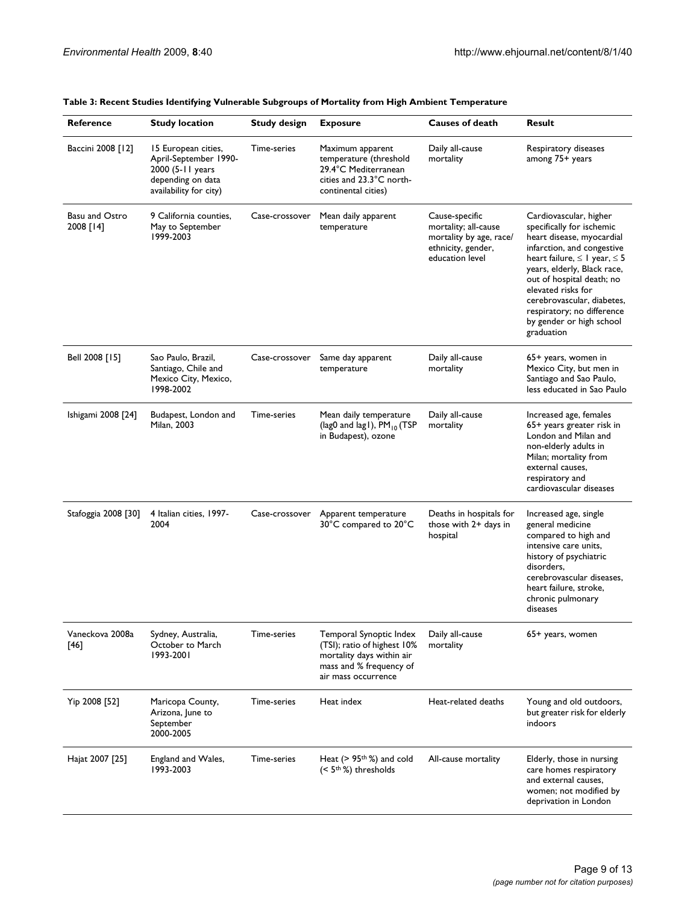| Reference                   | <b>Study location</b>                                                                                           | Study design   | <b>Exposure</b>                                                                                                                       | <b>Causes of death</b>                                                                                     | Result                                                                                                                                                                                                                                                                                                                                           |
|-----------------------------|-----------------------------------------------------------------------------------------------------------------|----------------|---------------------------------------------------------------------------------------------------------------------------------------|------------------------------------------------------------------------------------------------------------|--------------------------------------------------------------------------------------------------------------------------------------------------------------------------------------------------------------------------------------------------------------------------------------------------------------------------------------------------|
| Baccini 2008 [12]           | 15 European cities,<br>April-September 1990-<br>2000 (5-11 years<br>depending on data<br>availability for city) | Time-series    | Maximum apparent<br>temperature (threshold<br>29.4°C Mediterranean<br>cities and 23.3°C north-<br>continental cities)                 | Daily all-cause<br>mortality                                                                               | Respiratory diseases<br>among 75+ years                                                                                                                                                                                                                                                                                                          |
| Basu and Ostro<br>2008 [14] | 9 California counties,<br>May to September<br>1999-2003                                                         | Case-crossover | Mean daily apparent<br>temperature                                                                                                    | Cause-specific<br>mortality; all-cause<br>mortality by age, race/<br>ethnicity, gender,<br>education level | Cardiovascular, higher<br>specifically for ischemic<br>heart disease, myocardial<br>infarction, and congestive<br>heart failure, $\leq 1$ year, $\leq 5$<br>years, elderly, Black race,<br>out of hospital death; no<br>elevated risks for<br>cerebrovascular, diabetes,<br>respiratory; no difference<br>by gender or high school<br>graduation |
| Bell 2008 [15]              | Sao Paulo, Brazil,<br>Santiago, Chile and<br>Mexico City, Mexico,<br>1998-2002                                  | Case-crossover | Same day apparent<br>temperature                                                                                                      | Daily all-cause<br>mortality                                                                               | 65+ years, women in<br>Mexico City, but men in<br>Santiago and Sao Paulo,<br>less educated in Sao Paulo                                                                                                                                                                                                                                          |
| Ishigami 2008 [24]          | Budapest, London and<br>Milan, 2003                                                                             | Time-series    | Mean daily temperature<br>(lag0 and lag1), $PM_{10}$ (TSP<br>in Budapest), ozone                                                      | Daily all-cause<br>mortality                                                                               | Increased age, females<br>65+ years greater risk in<br>London and Milan and<br>non-elderly adults in<br>Milan; mortality from<br>external causes,<br>respiratory and<br>cardiovascular diseases                                                                                                                                                  |
| Stafoggia 2008 [30]         | 4 Italian cities, 1997-<br>2004                                                                                 | Case-crossover | Apparent temperature<br>30°C compared to 20°C                                                                                         | Deaths in hospitals for<br>those with 2+ days in<br>hospital                                               | Increased age, single<br>general medicine<br>compared to high and<br>intensive care units,<br>history of psychiatric<br>disorders,<br>cerebrovascular diseases,<br>heart failure, stroke,<br>chronic pulmonary<br>diseases                                                                                                                       |
| Vaneckova 2008a<br>$[46]$   | Sydney, Australia,<br>October to March<br>1993-2001                                                             | Time-series    | Temporal Synoptic Index<br>(TSI); ratio of highest 10%<br>mortality days within air<br>mass and % frequency of<br>air mass occurrence | Daily all-cause<br>mortality                                                                               | 65+ years, women                                                                                                                                                                                                                                                                                                                                 |
| Yip 2008 [52]               | Maricopa County,<br>Arizona, June to<br>September<br>2000-2005                                                  | Time-series    | Heat index                                                                                                                            | Heat-related deaths                                                                                        | Young and old outdoors,<br>but greater risk for elderly<br>indoors                                                                                                                                                                                                                                                                               |
| Hajat 2007 [25]             | England and Wales,<br>1993-2003                                                                                 | Time-series    | Heat $(> 95th %)$ and cold<br>$(< 5th %$ ) thresholds                                                                                 | All-cause mortality                                                                                        | Elderly, those in nursing<br>care homes respiratory<br>and external causes,<br>women; not modified by<br>deprivation in London                                                                                                                                                                                                                   |

# <span id="page-8-0"></span>**Table 3: Recent Studies Identifying Vulnerable Subgroups of Mortality from High Ambient Temperature**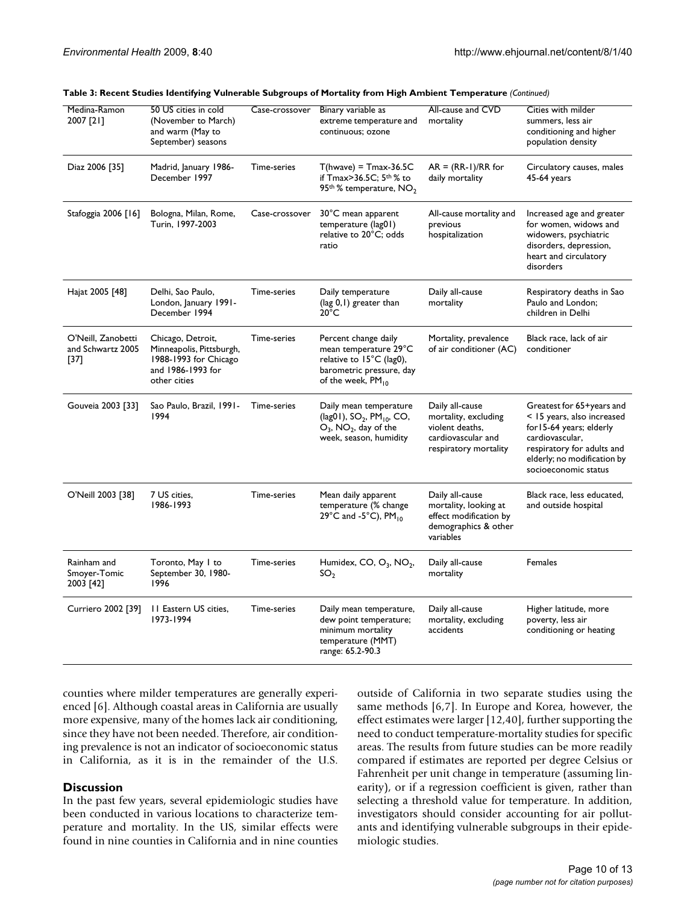| Medina-Ramon<br>2007 [21]                       | 50 US cities in cold<br>(November to March)<br>and warm (May to<br>September) seasons                       | Case-crossover | Binary variable as<br>extreme temperature and<br>continuous; ozone                                                                               | All-cause and CVD<br>mortality                                                                            | Cities with milder<br>summers, less air<br>conditioning and higher<br>population density                                                                                                    |
|-------------------------------------------------|-------------------------------------------------------------------------------------------------------------|----------------|--------------------------------------------------------------------------------------------------------------------------------------------------|-----------------------------------------------------------------------------------------------------------|---------------------------------------------------------------------------------------------------------------------------------------------------------------------------------------------|
| Diaz 2006 [35]                                  | Madrid, January 1986-<br>December 1997                                                                      | Time-series    | $T$ (hwave) = $T$ max-36.5C<br>if Tmax>36.5C; 5 <sup>th</sup> % to<br>95 <sup>th</sup> % temperature, $NO2$                                      | $AR = (RR-1)/RR$ for<br>daily mortality                                                                   | Circulatory causes, males<br>45-64 years                                                                                                                                                    |
| Stafoggia 2006 [16]                             | Bologna, Milan, Rome,<br>Turin, 1997-2003                                                                   | Case-crossover | 30°C mean apparent<br>temperature (lag01)<br>relative to 20°C; odds<br>ratio                                                                     | All-cause mortality and<br>previous<br>hospitalization                                                    | Increased age and greater<br>for women, widows and<br>widowers, psychiatric<br>disorders, depression,<br>heart and circulatory<br>disorders                                                 |
| Hajat 2005 [48]                                 | Delhi, Sao Paulo,<br>London, January 1991-<br>December 1994                                                 | Time-series    | Daily temperature<br>(lag 0,1) greater than<br>$20^{\circ}$ C                                                                                    | Daily all-cause<br>mortality                                                                              | Respiratory deaths in Sao<br>Paulo and London;<br>children in Delhi                                                                                                                         |
| O'Neill, Zanobetti<br>and Schwartz 2005<br>[37] | Chicago, Detroit,<br>Minneapolis, Pittsburgh,<br>1988-1993 for Chicago<br>and 1986-1993 for<br>other cities | Time-series    | Percent change daily<br>mean temperature 29°C<br>relative to $15^{\circ}$ C (lag0),<br>barometric pressure, day<br>of the week, PM <sub>10</sub> | Mortality, prevalence<br>of air conditioner (AC)                                                          | Black race, lack of air<br>conditioner                                                                                                                                                      |
| Gouveia 2003 [33]                               | Sao Paulo, Brazil, 1991-<br>1994                                                                            | Time-series    | Daily mean temperature<br>(lag01), $SO_2$ , PM <sub>10</sub> , CO,<br>$O_3$ , NO <sub>2</sub> , day of the<br>week, season, humidity             | Daily all-cause<br>mortality, excluding<br>violent deaths.<br>cardiovascular and<br>respiratory mortality | Greatest for 65+years and<br>< 15 years, also increased<br>for 15-64 years; elderly<br>cardiovascular,<br>respiratory for adults and<br>elderly; no modification by<br>socioeconomic status |
| O'Neill 2003 [38]                               | 7 US cities,<br>1986-1993                                                                                   | Time-series    | Mean daily apparent<br>temperature (% change<br>29°C and -5°C), PM <sub>10</sub>                                                                 | Daily all-cause<br>mortality, looking at<br>effect modification by<br>demographics & other<br>variables   | Black race, less educated,<br>and outside hospital                                                                                                                                          |
| Rainham and<br>Smoyer-Tomic<br>2003 [42]        | Toronto, May I to<br>September 30, 1980-<br>1996                                                            | Time-series    | Humidex, CO, O <sub>3</sub> , NO <sub>2</sub> ,<br>SO <sub>2</sub>                                                                               | Daily all-cause<br>mortality                                                                              | Females                                                                                                                                                                                     |
| Curriero 2002 [39]                              | II Eastern US cities,<br>1973-1994                                                                          | Time-series    | Daily mean temperature,<br>dew point temperature;<br>minimum mortality<br>temperature (MMT)<br>range: 65.2-90.3                                  | Daily all-cause<br>mortality, excluding<br>accidents                                                      | Higher latitude, more<br>poverty, less air<br>conditioning or heating                                                                                                                       |

| Table 3: Recent Studies Identifying Vulnerable Subgroups of Mortality from High Ambient Temperature (Continued) |  |  |  |
|-----------------------------------------------------------------------------------------------------------------|--|--|--|
|-----------------------------------------------------------------------------------------------------------------|--|--|--|

counties where milder temperatures are generally experienced [\[6\]](#page-11-6). Although coastal areas in California are usually more expensive, many of the homes lack air conditioning, since they have not been needed. Therefore, air conditioning prevalence is not an indicator of socioeconomic status in California, as it is in the remainder of the U.S.

# **Discussion**

In the past few years, several epidemiologic studies have been conducted in various locations to characterize temperature and mortality. In the US, similar effects were found in nine counties in California and in nine counties outside of California in two separate studies using the same methods [[6](#page-11-6),[7\]](#page-11-5). In Europe and Korea, however, the effect estimates were larger [\[12](#page-11-9),[40\]](#page-12-40), further supporting the need to conduct temperature-mortality studies for specific areas. The results from future studies can be more readily compared if estimates are reported per degree Celsius or Fahrenheit per unit change in temperature (assuming linearity), or if a regression coefficient is given, rather than selecting a threshold value for temperature. In addition, investigators should consider accounting for air pollutants and identifying vulnerable subgroups in their epidemiologic studies.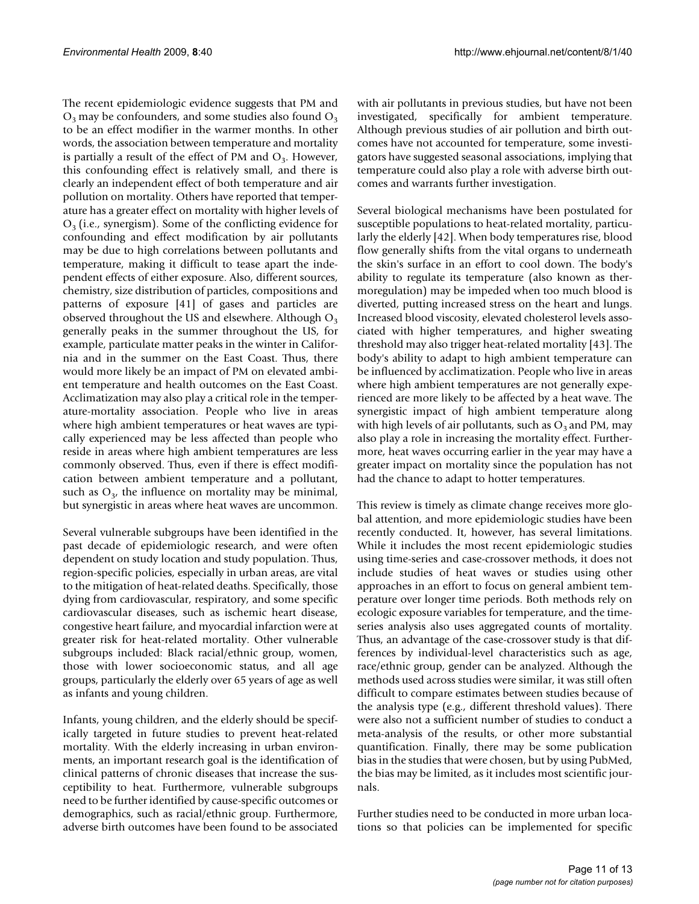The recent epidemiologic evidence suggests that PM and  $O<sub>3</sub>$  may be confounders, and some studies also found  $O<sub>3</sub>$ to be an effect modifier in the warmer months. In other words, the association between temperature and mortality is partially a result of the effect of PM and  $O_3$ . However, this confounding effect is relatively small, and there is clearly an independent effect of both temperature and air pollution on mortality. Others have reported that temperature has a greater effect on mortality with higher levels of  $O<sub>3</sub>$  (i.e., synergism). Some of the conflicting evidence for confounding and effect modification by air pollutants may be due to high correlations between pollutants and temperature, making it difficult to tease apart the independent effects of either exposure. Also, different sources, chemistry, size distribution of particles, compositions and patterns of exposure [\[41](#page-12-43)] of gases and particles are observed throughout the US and elsewhere. Although  $O<sub>3</sub>$ generally peaks in the summer throughout the US, for example, particulate matter peaks in the winter in California and in the summer on the East Coast. Thus, there would more likely be an impact of PM on elevated ambient temperature and health outcomes on the East Coast. Acclimatization may also play a critical role in the temperature-mortality association. People who live in areas where high ambient temperatures or heat waves are typically experienced may be less affected than people who reside in areas where high ambient temperatures are less commonly observed. Thus, even if there is effect modification between ambient temperature and a pollutant, such as  $O_3$ , the influence on mortality may be minimal, but synergistic in areas where heat waves are uncommon.

Several vulnerable subgroups have been identified in the past decade of epidemiologic research, and were often dependent on study location and study population. Thus, region-specific policies, especially in urban areas, are vital to the mitigation of heat-related deaths. Specifically, those dying from cardiovascular, respiratory, and some specific cardiovascular diseases, such as ischemic heart disease, congestive heart failure, and myocardial infarction were at greater risk for heat-related mortality. Other vulnerable subgroups included: Black racial/ethnic group, women, those with lower socioeconomic status, and all age groups, particularly the elderly over 65 years of age as well as infants and young children.

Infants, young children, and the elderly should be specifically targeted in future studies to prevent heat-related mortality. With the elderly increasing in urban environments, an important research goal is the identification of clinical patterns of chronic diseases that increase the susceptibility to heat. Furthermore, vulnerable subgroups need to be further identified by cause-specific outcomes or demographics, such as racial/ethnic group. Furthermore, adverse birth outcomes have been found to be associated

with air pollutants in previous studies, but have not been investigated, specifically for ambient temperature. Although previous studies of air pollution and birth outcomes have not accounted for temperature, some investigators have suggested seasonal associations, implying that temperature could also play a role with adverse birth outcomes and warrants further investigation.

Several biological mechanisms have been postulated for susceptible populations to heat-related mortality, particularly the elderly [\[42\]](#page-12-42). When body temperatures rise, blood flow generally shifts from the vital organs to underneath the skin's surface in an effort to cool down. The body's ability to regulate its temperature (also known as thermoregulation) may be impeded when too much blood is diverted, putting increased stress on the heart and lungs. Increased blood viscosity, elevated cholesterol levels associated with higher temperatures, and higher sweating threshold may also trigger heat-related mortality [[43\]](#page-12-44). The body's ability to adapt to high ambient temperature can be influenced by acclimatization. People who live in areas where high ambient temperatures are not generally experienced are more likely to be affected by a heat wave. The synergistic impact of high ambient temperature along with high levels of air pollutants, such as  $O_3$  and PM, may also play a role in increasing the mortality effect. Furthermore, heat waves occurring earlier in the year may have a greater impact on mortality since the population has not had the chance to adapt to hotter temperatures.

This review is timely as climate change receives more global attention, and more epidemiologic studies have been recently conducted. It, however, has several limitations. While it includes the most recent epidemiologic studies using time-series and case-crossover methods, it does not include studies of heat waves or studies using other approaches in an effort to focus on general ambient temperature over longer time periods. Both methods rely on ecologic exposure variables for temperature, and the timeseries analysis also uses aggregated counts of mortality. Thus, an advantage of the case-crossover study is that differences by individual-level characteristics such as age, race/ethnic group, gender can be analyzed. Although the methods used across studies were similar, it was still often difficult to compare estimates between studies because of the analysis type (e.g., different threshold values). There were also not a sufficient number of studies to conduct a meta-analysis of the results, or other more substantial quantification. Finally, there may be some publication bias in the studies that were chosen, but by using PubMed, the bias may be limited, as it includes most scientific journals.

Further studies need to be conducted in more urban locations so that policies can be implemented for specific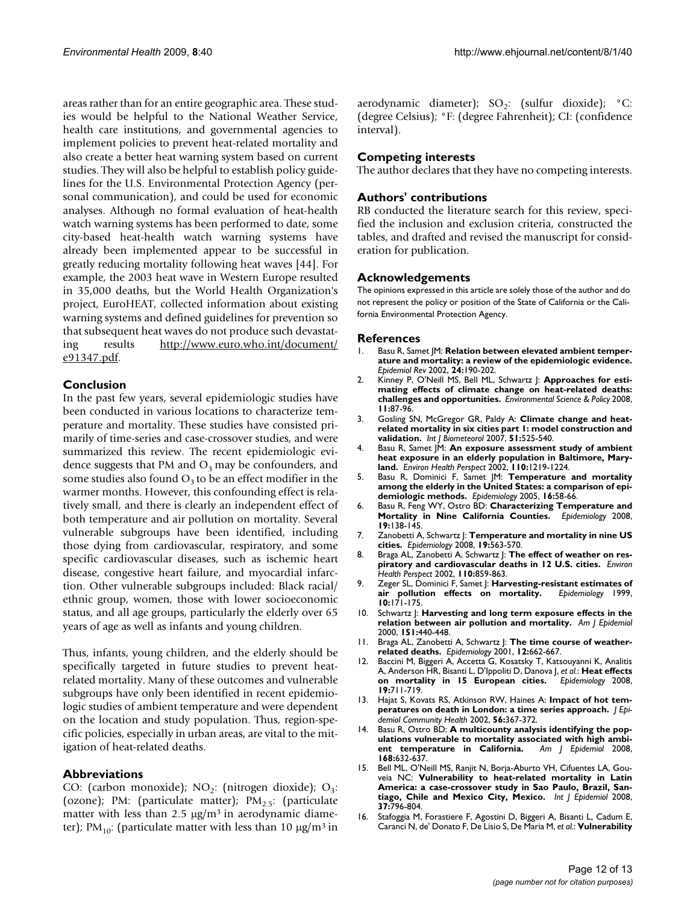areas rather than for an entire geographic area. These studies would be helpful to the National Weather Service, health care institutions, and governmental agencies to implement policies to prevent heat-related mortality and also create a better heat warning system based on current studies. They will also be helpful to establish policy guidelines for the U.S. Environmental Protection Agency (personal communication), and could be used for economic analyses. Although no formal evaluation of heat-health watch warning systems has been performed to date, some city-based heat-health watch warning systems have already been implemented appear to be successful in greatly reducing mortality following heat waves [[44](#page-12-45)]. For example, the 2003 heat wave in Western Europe resulted in 35,000 deaths, but the World Health Organization's project, EuroHEAT, collected information about existing warning systems and defined guidelines for prevention so that subsequent heat waves do not produce such devastating results [http://www.euro.who.int/document/](http://www.euro.who.int/document/e91347.pdf) [e91347.pdf](http://www.euro.who.int/document/e91347.pdf).

# **Conclusion**

In the past few years, several epidemiologic studies have been conducted in various locations to characterize temperature and mortality. These studies have consisted primarily of time-series and case-crossover studies, and were summarized this review. The recent epidemiologic evidence suggests that PM and  $O_3$  may be confounders, and some studies also found  $O_3$  to be an effect modifier in the warmer months. However, this confounding effect is relatively small, and there is clearly an independent effect of both temperature and air pollution on mortality. Several vulnerable subgroups have been identified, including those dying from cardiovascular, respiratory, and some specific cardiovascular diseases, such as ischemic heart disease, congestive heart failure, and myocardial infarction. Other vulnerable subgroups included: Black racial/ ethnic group, women, those with lower socioeconomic status, and all age groups, particularly the elderly over 65 years of age as well as infants and young children.

Thus, infants, young children, and the elderly should be specifically targeted in future studies to prevent heatrelated mortality. Many of these outcomes and vulnerable subgroups have only been identified in recent epidemiologic studies of ambient temperature and were dependent on the location and study population. Thus, region-specific policies, especially in urban areas, are vital to the mitigation of heat-related deaths.

# **Abbreviations**

CO: (carbon monoxide);  $NO_2$ : (nitrogen dioxide);  $O_3$ : (ozone); PM: (particulate matter);  $PM_{2.5}$ : (particulate matter with less than 2.5  $\mu$ g/m<sup>3</sup> in aerodynamic diameter);  $PM_{10}$ : (particulate matter with less than 10  $\mu$ g/m<sup>3</sup> in aerodynamic diameter);  $SO_2$ : (sulfur dioxide);  $°C$ : (degree Celsius); °F: (degree Fahrenheit); CI: (confidence interval).

# **Competing interests**

The author declares that they have no competing interests.

# **Authors' contributions**

RB conducted the literature search for this review, specified the inclusion and exclusion criteria, constructed the tables, and drafted and revised the manuscript for consideration for publication.

### <span id="page-11-18"></span>**Acknowledgements**

<span id="page-11-14"></span>The opinions expressed in this article are solely those of the author and do not represent the policy or position of the State of California or the California Environmental Protection Agency.

### <span id="page-11-16"></span>**References**

- <span id="page-11-0"></span>1. Basu R, Samet JM: **[Relation between elevated ambient temper](http://www.ncbi.nlm.nih.gov/entrez/query.fcgi?cmd=Retrieve&db=PubMed&dopt=Abstract&list_uids=12762092)[ature and mortality: a review of the epidemiologic evidence.](http://www.ncbi.nlm.nih.gov/entrez/query.fcgi?cmd=Retrieve&db=PubMed&dopt=Abstract&list_uids=12762092)** *Epidemiol Rev* 2002, **24:**190-202.
- <span id="page-11-1"></span>2. Kinney P, O'Neill MS, Bell ML, Schwartz J: **Approaches for estimating effects of climate change on heat-related deaths: challenges and opportunities.** *Environmental Science & Policy* 2008, **11:**87-96.
- <span id="page-11-19"></span><span id="page-11-2"></span>3. Gosling SN, McGregor GR, Paldy A: **[Climate change and heat](http://www.ncbi.nlm.nih.gov/entrez/query.fcgi?cmd=Retrieve&db=PubMed&dopt=Abstract&list_uids=17347834)[related mortality in six cities part 1: model construction and](http://www.ncbi.nlm.nih.gov/entrez/query.fcgi?cmd=Retrieve&db=PubMed&dopt=Abstract&list_uids=17347834) [validation.](http://www.ncbi.nlm.nih.gov/entrez/query.fcgi?cmd=Retrieve&db=PubMed&dopt=Abstract&list_uids=17347834)** *Int J Biometeorol* 2007, **51:**525-540.
- <span id="page-11-13"></span><span id="page-11-3"></span>4. Basu R, Samet JM: **[An exposure assessment study of ambient](http://www.ncbi.nlm.nih.gov/entrez/query.fcgi?cmd=Retrieve&db=PubMed&dopt=Abstract&list_uids=12460801) [heat exposure in an elderly population in Baltimore, Mary](http://www.ncbi.nlm.nih.gov/entrez/query.fcgi?cmd=Retrieve&db=PubMed&dopt=Abstract&list_uids=12460801)[land.](http://www.ncbi.nlm.nih.gov/entrez/query.fcgi?cmd=Retrieve&db=PubMed&dopt=Abstract&list_uids=12460801)** *Environ Health Perspect* 2002, **110:**1219-1224.
- <span id="page-11-4"></span>5. Basu R, Dominici F, Samet JM: **[Temperature and mortality](http://www.ncbi.nlm.nih.gov/entrez/query.fcgi?cmd=Retrieve&db=PubMed&dopt=Abstract&list_uids=15613946) [among the elderly in the United States: a comparison of epi](http://www.ncbi.nlm.nih.gov/entrez/query.fcgi?cmd=Retrieve&db=PubMed&dopt=Abstract&list_uids=15613946)[demiologic methods.](http://www.ncbi.nlm.nih.gov/entrez/query.fcgi?cmd=Retrieve&db=PubMed&dopt=Abstract&list_uids=15613946)** *Epidemiology* 2005, **16:**58-66.
- <span id="page-11-6"></span>6. Basu R, Feng WY, Ostro BD: **[Characterizing Temperature and](http://www.ncbi.nlm.nih.gov/entrez/query.fcgi?cmd=Retrieve&db=PubMed&dopt=Abstract&list_uids=18091422) [Mortality in Nine California Counties.](http://www.ncbi.nlm.nih.gov/entrez/query.fcgi?cmd=Retrieve&db=PubMed&dopt=Abstract&list_uids=18091422)** *Epidemiology* 2008, **19:**138-145.
- <span id="page-11-5"></span>7. Zanobetti A, Schwartz J: **[Temperature and mortality in nine US](http://www.ncbi.nlm.nih.gov/entrez/query.fcgi?cmd=Retrieve&db=PubMed&dopt=Abstract&list_uids=18467963) [cities.](http://www.ncbi.nlm.nih.gov/entrez/query.fcgi?cmd=Retrieve&db=PubMed&dopt=Abstract&list_uids=18467963)** *Epidemiology* 2008, **19:**563-570.
- <span id="page-11-15"></span><span id="page-11-7"></span>8. Braga AL, Zanobetti A, Schwartz J: **[The effect of weather on res](http://www.ncbi.nlm.nih.gov/entrez/query.fcgi?cmd=Retrieve&db=PubMed&dopt=Abstract&list_uids=12204818)[piratory and cardiovascular deaths in 12 U.S. cities.](http://www.ncbi.nlm.nih.gov/entrez/query.fcgi?cmd=Retrieve&db=PubMed&dopt=Abstract&list_uids=12204818)** *Environ Health Perspect* 2002, **110:**859-863.
- 9. Zeger SL, Dominici F, Samet J: **[Harvesting-resistant estimates of](http://www.ncbi.nlm.nih.gov/entrez/query.fcgi?cmd=Retrieve&db=PubMed&dopt=Abstract&list_uids=10069254) [air pollution effects on mortality.](http://www.ncbi.nlm.nih.gov/entrez/query.fcgi?cmd=Retrieve&db=PubMed&dopt=Abstract&list_uids=10069254)** *Epidemiology* 1999, **10:**171-175.
- <span id="page-11-17"></span>10. Schwartz J: **[Harvesting and long term exposure effects in the](http://www.ncbi.nlm.nih.gov/entrez/query.fcgi?cmd=Retrieve&db=PubMed&dopt=Abstract&list_uids=10707911) [relation between air pollution and mortality.](http://www.ncbi.nlm.nih.gov/entrez/query.fcgi?cmd=Retrieve&db=PubMed&dopt=Abstract&list_uids=10707911)** *Am J Epidemiol* 2000, **151:**440-448.
- <span id="page-11-20"></span>11. Braga AL, Zanobetti A, Schwartz J: **[The time course of weather](http://www.ncbi.nlm.nih.gov/entrez/query.fcgi?cmd=Retrieve&db=PubMed&dopt=Abstract&list_uids=11679794)[related deaths.](http://www.ncbi.nlm.nih.gov/entrez/query.fcgi?cmd=Retrieve&db=PubMed&dopt=Abstract&list_uids=11679794)** *Epidemiology* 2001, **12:**662-667.
- <span id="page-11-9"></span>12. Baccini M, Biggeri A, Accetta G, Kosatsky T, Katsouyanni K, Analitis A, Anderson HR, Bisanti L, D'Ippoliti D, Danova J, *et al.*: **[Heat effects](http://www.ncbi.nlm.nih.gov/entrez/query.fcgi?cmd=Retrieve&db=PubMed&dopt=Abstract&list_uids=18520615)** [on mortality in 15 European cities.](http://www.ncbi.nlm.nih.gov/entrez/query.fcgi?cmd=Retrieve&db=PubMed&dopt=Abstract&list_uids=18520615) **19:**711-719.
- <span id="page-11-8"></span>13. Hajat S, Kovats RS, Atkinson RW, Haines A: **[Impact of hot tem](http://www.ncbi.nlm.nih.gov/entrez/query.fcgi?cmd=Retrieve&db=PubMed&dopt=Abstract&list_uids=11964434)[peratures on death in London: a time series approach.](http://www.ncbi.nlm.nih.gov/entrez/query.fcgi?cmd=Retrieve&db=PubMed&dopt=Abstract&list_uids=11964434)** *J Epidemiol Community Health* 2002, **56:**367-372.
- <span id="page-11-10"></span>14. Basu R, Ostro BD: **[A multicounty analysis identifying the pop](http://www.ncbi.nlm.nih.gov/entrez/query.fcgi?cmd=Retrieve&db=PubMed&dopt=Abstract&list_uids=18663214)**ulations vulnerable to mortality associated with high ambi-<br>ent temperature in California. Am J Epidemiol 2008, [ent temperature in California.](http://www.ncbi.nlm.nih.gov/entrez/query.fcgi?cmd=Retrieve&db=PubMed&dopt=Abstract&list_uids=18663214) **168:**632-637.
- <span id="page-11-11"></span>15. Bell ML, O'Neill MS, Ranjit N, Borja-Aburto VH, Cifuentes LA, Gouveia NC: **[Vulnerability to heat-related mortality in Latin](http://www.ncbi.nlm.nih.gov/entrez/query.fcgi?cmd=Retrieve&db=PubMed&dopt=Abstract&list_uids=18511489) [America: a case-crossover study in Sao Paulo, Brazil, San](http://www.ncbi.nlm.nih.gov/entrez/query.fcgi?cmd=Retrieve&db=PubMed&dopt=Abstract&list_uids=18511489)[tiago, Chile and Mexico City, Mexico.](http://www.ncbi.nlm.nih.gov/entrez/query.fcgi?cmd=Retrieve&db=PubMed&dopt=Abstract&list_uids=18511489)** *Int J Epidemiol* 2008, **37:**796-804.
- <span id="page-11-12"></span>Stafoggia M, Forastiere F, Agostini D, Biggeri A, Bisanti L, Cadum E, Caranci N, de' Donato F, De Lisio S, De Maria M, *et al.*: **[Vulnerability](http://www.ncbi.nlm.nih.gov/entrez/query.fcgi?cmd=Retrieve&db=PubMed&dopt=Abstract&list_uids=16570026)**